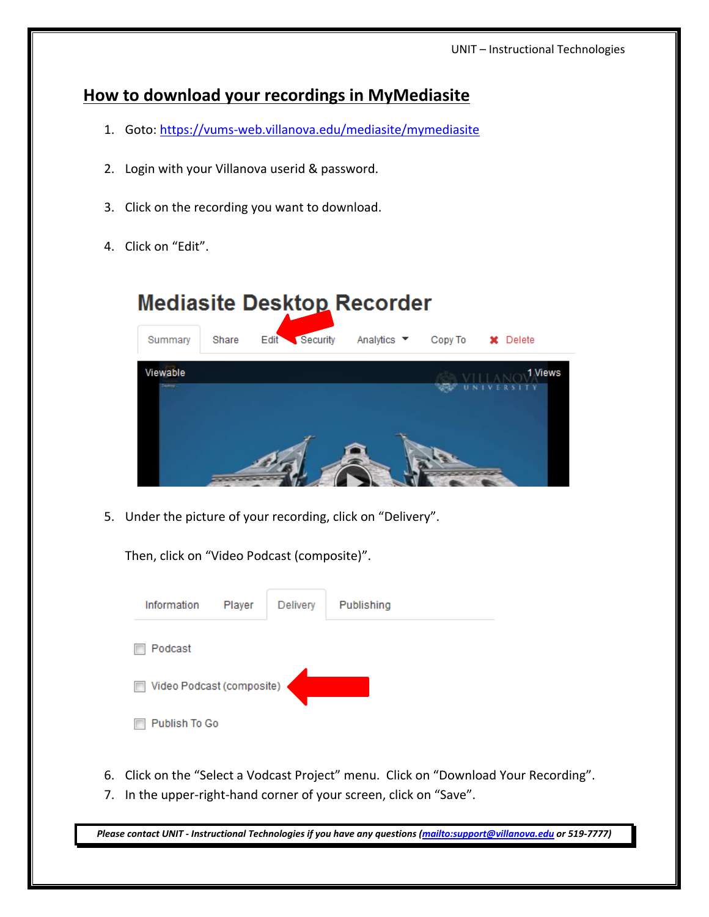## **How to download your recordings in MyMediasite**

- 1. Goto: https://vums‐web.villanova.edu/mediasite/mymediasite
- 2. Login with your Villanova userid & password.
- 3. Click on the recording you want to download.
- 4. Click on "Edit".

## **Mediasite Desktop Recorder** Summary Share Security **Edit** Analytics  $\blacktriangleright$ Copy To **x** Delete Viewable 1 Views

5. Under the picture of your recording, click on "Delivery".

Then, click on "Video Podcast (composite)".

| Information               | Player | Delivery | Publishing |
|---------------------------|--------|----------|------------|
| Podcast                   |        |          |            |
| Video Podcast (composite) |        |          |            |
| Publish To Go             |        |          |            |

- 6. Click on the "Select a Vodcast Project" menu. Click on "Download Your Recording".
- 7. In the upper-right-hand corner of your screen, click on "Save".

Please contact UNIT - Instructional Technologies if you have any questions (mailto:support@villanova.edu or 519-7777)